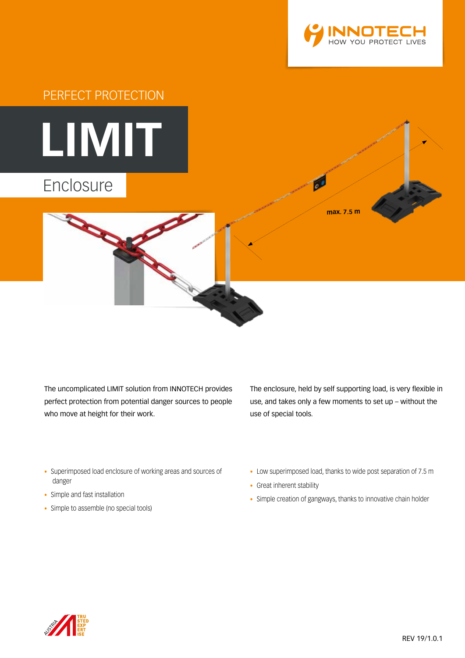



The uncomplicated LIMIT solution from INNOTECH provides perfect protection from potential danger sources to people who move at height for their work.

The enclosure, held by self supporting load, is very flexible in use, and takes only a few moments to set up – without the use of special tools.

- Superimposed load enclosure of working areas and sources of danger
- Simple and fast installation
- Simple to assemble (no special tools)
- Low superimposed load, thanks to wide post separation of 7.5 m
- Great inherent stability
- Simple creation of gangways, thanks to innovative chain holder